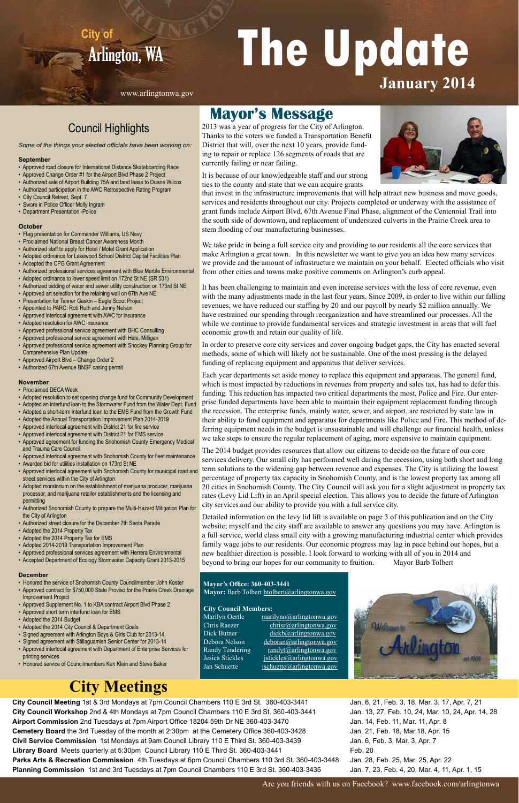# <sup>A</sup>rlington, WA **The Update City of January 2014**

**City Council Meeting** 1st & 3rd Mondays at 7pm Council Chambers 110 E 3rd St. 360-403-3441 **City Council Workshop** 2nd & 4th Mondays at 7pm Council Chambers 110 E 3rd St. 360-403-3441 **Airport Commission** 2nd Tuesdays at 7pm Airport Office 18204 59th Dr NE 360-403-3470 **Cemetery Board** the 3rd Tuesday of the month at 2:30pm at the Cemetery Office 360-403-3428 **Civil Service Commission** 1st Mondays at 9am Council Library 110 E Third St. 360-403-3439 **Library Board** Meets quarterly at 5:30pm Council Library 110 E Third St. 360-403-3441 **Parks Arts & Recreation Commission** 4th Tuesdays at 6pm Council Chambers 110 3rd St. 360-403-3448 **Planning Commission** 1st and 3rd Tuesdays at 7pm Council Chambers 110 E 3rd St. 360-403-3435

### Council Highlights

*Some of the things your elected officials have been working on:*

#### **September**

- Approved road closure for International Distance Skateboarding Race
- Approved Change Order #1 for the Airport Blvd Phase 2 Project
- Authorized sale of Airport Building 75A and land lease to Duane Wilcox
- Authorized participation in the AWC Retrospective Rating Program
- City Council Retreat, Sept. 7
- Swore in Police Officer Molly Ingram
- Department Presentation -Police

#### **October**

- Flag presentation for Commander Williams, US Navy
- Proclaimed National Breast Cancer Awareness Month
- Authorized staff to apply for Hotel / Motel Grant Application
- Adopted ordinance for Lakewood School District Capital Facilities Plan
- Accepted the CPG Grant Agreement
- Authorized professional services agreement with Blue Marble Environmental
- Adopted ordinance to lower speed limit on 172nd St NE (SR 531)
- Authorized bidding of water and sewer utility construction on 173rd St NE
- Approved art selection for the retaining wall on 67th Ave NE
- Presentation for Tanner Gaskin Eagle Scout Project
- Appointed to PARC: Rob Ruth and Jenny Nelson
- Approved interlocal agreement with AWC for insurance
- Adopted resolution for AWC insurance
- Approved professional service agreement with BHC Consulting
- Approved professional service agreement with Hale, Milligan
- Approved professional service agreement with Shockey Planning Group for Comprehensive Plan Update
- Approved Airport Blvd Change Order 2
- Authorized 67th Avenue BNSF casing permit

#### **November**

- Proclaimed DECA Week
- Adopted resolution to set opening change fund for Community Development
- Adopted an interfund loan to the Stormwater Fund from the Water Dept. Fund
- Adopted a short-term interfund loan to the EMS Fund from the Growth Fund
- Adopted the Annual Transportation Improvement Plan 2014-2019
- Approved interlocal agreement with District 21 for fire service
- Approved interlocal agreement with District 21 for EMS service
- Approved agreement for funding the Snohomish County Emergency Medical and Trauma Care Council
- Approved interlocal agreement with Snohomish County for fleet maintenance
- Awarded bid for utilities installation on 173rd St NE
- Approved interlocal agreement with Snohomish County for municipal road and street services within the City of Arlington
- Adopted moratorium on the establishment of marijuana producer, marijuana processor, and marijuana retailer establishments and the licensing and permitting
- Authorized Snohomish County to prepare the Multi-Hazard Mitigation Plan for the City of Arlington
- Authorized street closure for the December 7th Santa Parade
- Adopted the 2014 Property Tax
- Adopted the 2014 Property Tax for EMS
- Adopted 2014-2019 Transportation Improvement Plan
- Approved professional services agreement with Herrera Environmental
- Accepted Department of Ecology Stormwater Capacity Grant 2013-2015

#### **December**

- Honored the service of Snohomish County Councilmember John Koster
- Approved contract for \$750,000 State Proviso for the Prairie Creek Drainage Improvement Project
- Approved Supplement No. 1 to KBA contract Airport Blvd Phase 2
- Approved short term interfund loan for EMS
- Adopted the 2014 Budget
- Adopted the 2014 City Council & Department Goals
- Signed agreement with Arlington Boys & Girls Club for 2013-14
- Signed agreement with Stillaguamish Senior Center for 2013-14
- Approved interlocal agreement with Department of Enterprise Services for printing services
- Honored service of Councilmembers Ken Klein and Steve Baker

arilyn Oertle marilyno@arlingtonwa.gov Chris Raezer christ@arlingtonwa.gov Dick Butner dickb@arlingtonwa.gov Debora Nelson deboran@arlingtonwa.gov Randy Tendering randyt@arlingtonwa.gov Jesica Stickles *jstickles@arlingtonwa.gov* Jan Schuette *jschuette@arlingtonwa.gov* 

#### **Mayor's Office: 360-403-3441** Mayor: Barb Tolbert btolbert@arlingtonwa.gov

Jan. 6, 21, Feb. 3, 18, Mar. 3, 17, Apr. 7, 21 Jan. 13, 27, Feb. 10, 24, Mar. 10, 24, Apr. 14, 28 Jan. 14, Feb. 11, Mar. 11, Apr. 8 Jan. 21, Feb. 18, Mar.18, Apr. 15 Jan. 6, Feb. 3, Mar. 3, Apr. 7 Feb. 20 Jan. 28, Feb. 25, Mar. 25, Apr. 22 Jan. 7, 23, Feb. 4, 20, Mar. 4, 11, Apr. 1, 15

### **City Meetings**

### **Mayor's Message**

2013 was a year of progress for the City of Arlington. Thanks to the voters we funded a Transportation Benefit District that will, over the next 10 years, provide funding to repair or replace 126 segments of roads that are currently failing or near failing.



It is because of our knowledgeable staff and our strong ties to the county and state that we can acquire grants

that invest in the infrastructure improvements that will help attract new business and move goods, services and residents throughout our city. Projects completed or underway with the assistance of grant funds include Airport Blvd, 67th Avenue Final Phase, alignment of the Centennial Trail into the south side of downtown, and replacement of undersized culverts in the Prairie Creek area to stem flooding of our manufacturing businesses.

We take pride in being a full service city and providing to our residents all the core services that make Arlington a great town. In this newsletter we want to give you an idea how many services we provide and the amount of infrastructure we maintain on your behalf. Elected officials who visit from other cities and towns make positive comments on Arlington's curb appeal.

It has been challenging to maintain and even increase services with the loss of core revenue, even with the many adjustments made in the last four years. Since 2009, in order to live within our falling revenues, we have reduced our staffing by 20 and our payroll by nearly \$2 million annually. We have restrained our spending through reorganization and have streamlined our processes. All the while we continue to provide fundamental services and strategic investment in areas that will fuel economic growth and retain our quality of life.

In order to preserve core city services and cover ongoing budget gaps, the City has enacted several methods, some of which will likely not be sustainable. One of the most pressing is the delayed funding of replacing equipment and apparatus that deliver services.

Each year departments set aside money to replace this equipment and apparatus. The general fund, which is most impacted by reductions in revenues from property and sales tax, has had to defer this funding. This reduction has impacted two critical departments the most, Police and Fire. Our enterprise funded departments have been able to maintain their equipment replacement funding through the recession. The enterprise funds, mainly water, sewer, and airport, are restricted by state law in their ability to fund equipment and apparatus for departments like Police and Fire. This method of deferring equipment needs in the budget is unsustainable and will challenge our financial health, unless we take steps to ensure the regular replacement of aging, more expensive to maintain equipment.

The 2014 budget provides resources that allow our citizens to decide on the future of our core services delivery. Our small city has performed well during the recession, using both short and long term solutions to the widening gap between revenue and expenses. The City is utilizing the lowest percentage of property tax capacity in Snohomish County, and is the lowest property tax among all 20 cities in Snohomish County. The City Council will ask you for a slight adjustment in property tax rates (Levy Lid Lift) in an April special election. This allows you to decide the future of Arlington city services and our ability to provide you with a full service city.

Detailed information on the levy lid lift is available on page 3 of this publication and on the City website; myself and the city staff are available to answer any questions you may have. Arlington is a full service, world class small city with a growing manufacturing industrial center which provides family wage jobs to our residents. Our economic progress may lag in pace behind our hopes, but a new healthier direction is possible. I look forward to working with all of you in 2014 and beyond to bring our hopes for our community to fruition. Mayor Barb Tolbert

 **City Council Members:**



Are you friends with us on Facebook? www.facebook.com/arlingtonwa

www.arlingtonwa.gov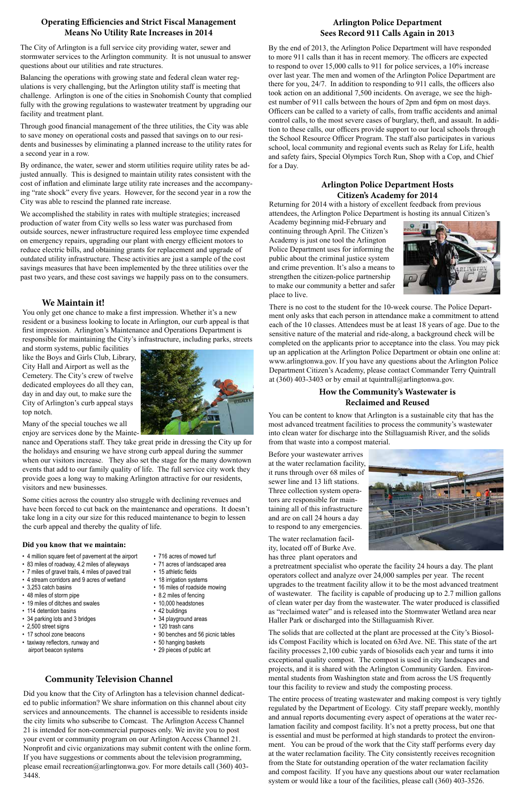Returning for 2014 with a history of excellent feedback from previous attendees, the Arlington Police Department is hosting its annual Citizen's

There is no cost to the student for the 10-week course. The Police Department only asks that each person in attendance make a commitment to attend each of the 10 classes. Attendees must be at least 18 years of age. Due to the sensitive nature of the material and ride-along, a background check will be completed on the applicants prior to acceptance into the class. You may pick up an application at the Arlington Police Department or obtain one online at: www.arlingtonwa.gov. If you have any questions about the Arlington Police Department Citizen's Academy, please contact Commander Terry Quintrall at (360) 403-3403 or by email at tquintrall@arlingtonwa.gov.

Academy beginning mid-February and continuing through April. The Citizen's Academy is just one tool the Arlington Police Department uses for informing the public about the criminal justice system and crime prevention. It's also a means to strengthen the citizen-police partnership to make our community a better and safer place to live.



You only get one chance to make a first impression. Whether it's a new resident or a business looking to locate in Arlington, our curb appeal is that first impression. Arlington's Maintenance and Operations Department is responsible for maintaining the City's infrastructure, including parks, streets

and storm systems, public facilities like the Boys and Girls Club, Library, City Hall and Airport as well as the Cemetery. The City's crew of twelve dedicated employees do all they can, day in and day out, to make sure the City of Arlington's curb appeal stays top notch.

Many of the special touches we all enjoy are services done by the Mainte-

nance and Operations staff. They take great pride in dressing the City up for the holidays and ensuring we have strong curb appeal during the summer when our visitors increase. They also set the stage for the many downtown events that add to our family quality of life. The full service city work they provide goes a long way to making Arlington attractive for our residents, visitors and new businesses.

Some cities across the country also struggle with declining revenues and have been forced to cut back on the maintenance and operations. It doesn't take long in a city our size for this reduced maintenance to begin to lessen the curb appeal and thereby the quality of life.

#### **Did you know that we maintain:**

#### **We Maintain it!**

#### **Arlington Police Department Hosts Citizen's Academy for 2014**

#### **How the Community's Wastewater is Reclaimed and Reused**

You can be content to know that Arlington is a sustainable city that has the most advanced treatment facilities to process the community's wastewater into clean water for discharge into the Stillaguamish River, and the solids from that waste into a compost material.

Before your wastewater arrives at the water reclamation facility, it runs through over 68 miles of sewer line and 13 lift stations. Three collection system operators are responsible for maintaining all of this infrastructure and are on call 24 hours a day to respond to any emergencies.

The water reclamation facility, located off of Burke Ave. has three plant operators and



a pretreatment specialist who operate the facility 24 hours a day. The plant operators collect and analyze over 24,000 samples per year. The recent upgrades to the treatment facility allow it to be the most advanced treatment of wastewater. The facility is capable of producing up to 2.7 million gallons of clean water per day from the wastewater. The water produced is classified as "reclaimed water" and is released into the Stormwater Wetland area near

Haller Park or discharged into the Stillaguamish River.

- 4 million square feet of pavement at the airport
- 83 miles of roadway, 4.2 miles of alleyways
- 7 miles of gravel trails, 4 miles of paved trail
- 4 stream corridors and 9 acres of wetland
- 3,253 catch basins
- 48 miles of storm pipe
- 
- 19 miles of ditches and swales
- 114 detention basins

The solids that are collected at the plant are processed at the City's Biosolids Compost Facility which is located on 63rd Ave. NE. This state of the art facility processes 2,100 cubic yards of biosolids each year and turns it into exceptional quality compost. The compost is used in city landscapes and projects, and it is shared with the Arlington Community Garden. Environmental students from Washington state and from across the US frequently tour this facility to review and study the composting process.

The entire process of treating wastewater and making compost is very tightly regulated by the Department of Ecology. City staff prepare weekly, monthly and annual reports documenting every aspect of operations at the water reclamation facility and compost facility. It's not a pretty process, but one that is essential and must be performed at high standards to protect the environment. You can be proud of the work that the City staff performs every day at the water reclamation facility. The City consistently receives recognition from the State for outstanding operation of the water reclamation facility and compost facility. If you have any questions about our water reclamation system or would like a tour of the facilities, please call (360) 403-3526.

#### **Operating Efficiencies and Strict Fiscal Management Means No Utility Rate Increases in 2014**

The City of Arlington is a full service city providing water, sewer and stormwater services to the Arlington community. It is not unusual to answer questions about our utilities and rate structures.

Balancing the operations with growing state and federal clean water regulations is very challenging, but the Arlington utility staff is meeting that challenge. Arlington is one of the cities in Snohomish County that complied fully with the growing regulations to wastewater treatment by upgrading our facility and treatment plant.

Through good financial management of the three utilities, the City was able to save money on operational costs and passed that savings on to our residents and businesses by eliminating a planned increase to the utility rates for a second year in a row.

By ordinance, the water, sewer and storm utilities require utility rates be adjusted annually. This is designed to maintain utility rates consistent with the cost of inflation and eliminate large utility rate increases and the accompanying "rate shock" every five years. However, for the second year in a row the City was able to rescind the planned rate increase.

We accomplished the stability in rates with multiple strategies; increased production of water from City wells so less water was purchased from outside sources, newer infrastructure required less employee time expended on emergency repairs, upgrading our plant with energy efficient motors to reduce electric bills, and obtaining grants for replacement and upgrade of outdated utility infrastructure. These activities are just a sample of the cost savings measures that have been implemented by the three utilities over the past two years, and these cost savings we happily pass on to the consumers. By the end of 2013, the Arlington Police Department will have responded to more 911 calls than it has in recent memory. The officers are expected to respond to over 15,000 calls to 911 for police services, a 10% increase over last year. The men and women of the Arlington Police Department are there for you, 24/7. In addition to responding to 911 calls, the officers also took action on an additional 7,500 incidents. On average, we see the highest number of 911 calls between the hours of 2pm and 6pm on most days. Officers can be called to a variety of calls, from traffic accidents and animal control calls, to the most severe cases of burglary, theft, and assault. In addition to these calls, our officers provide support to our local schools through the School Resource Officer Program. The staff also participates in various school, local community and regional events such as Relay for Life, health and safety fairs, Special Olympics Torch Run, Shop with a Cop, and Chief for a Day.

#### **Arlington Police Department Sees Record 911 Calls Again in 2013**

- 34 parking lots and 3 bridges
- 2,500 street signs
- 17 school zone beacons
- taxiway reflectors, runway and airport beacon systems
- 34 playground areas
- 120 trash cans
- 90 benches and 56 picnic tables
- 50 hanging baskets
- 29 pieces of public art
- 716 acres of mowed turf
- 71 acres of landscaped area
- 
- 15 athletic fields • 18 irrigation systems
- 16 miles of roadside mowing
- 8.2 miles of fencing
- 10,000 headstones
- 42 buildings
- 

Did you know that the City of Arlington has a television channel dedicated to public information? We share information on this channel about city services and announcements. The channel is accessible to residents inside the city limits who subscribe to Comcast. The Arlington Access Channel 21 is intended for non-commercial purposes only. We invite you to post your event or community program on our Arlington Access Channel 21. Nonprofit and civic organizations may submit content with the online form. If you have suggestions or comments about the television programming, please email recreation@arlingtonwa.gov. For more details call (360) 403- 3448.

#### **Community Television Channel**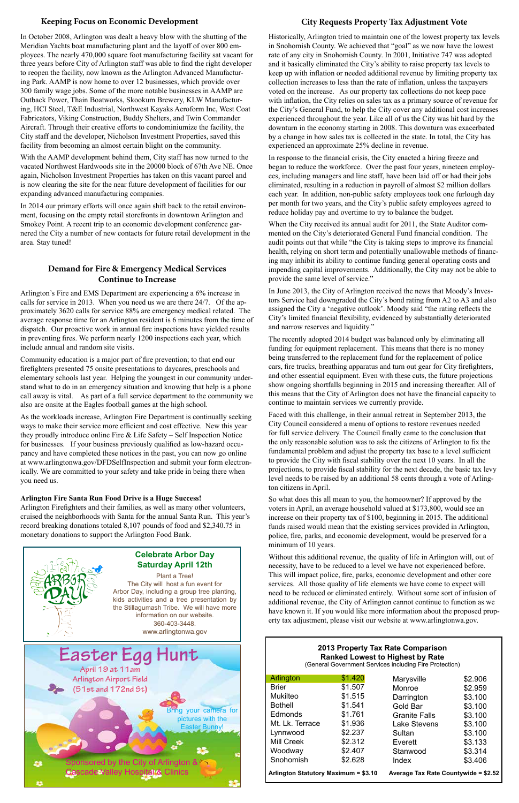#### **2013 Property Tax Rate Comparison Ranked Lowest to Highest by Rate**

(General Government Services including Fire Protection)

| Easter Egg Hunt                                           |                       |
|-----------------------------------------------------------|-----------------------|
| April 19 at 11 am                                         |                       |
| Arlington Airport Field                                   |                       |
| $(51st$ and 172nd St)                                     |                       |
|                                                           |                       |
|                                                           | Bring your camera for |
|                                                           | pictures with the     |
|                                                           | <b>Easter Bunny!</b>  |
|                                                           |                       |
|                                                           |                       |
| Sponsored by the City of Arlington $8 \sqrt[3]{3}$<br>-33 |                       |
| <b>Cascade Valley Hospital &amp; Clinics</b>              |                       |
|                                                           |                       |

Arlington's Fire and EMS Department are experiencing a 6% increase in calls for service in 2013. When you need us we are there 24/7. Of the approximately 3620 calls for service 88% are emergency medical related. The average response time for an Arlington resident is 6 minutes from the time of dispatch. Our proactive work in annual fire inspections have yielded results in preventing fires. We perform nearly 1200 inspections each year, which include annual and random site visits.

Community education is a major part of fire prevention; to that end our firefighters presented 75 onsite presentations to daycares, preschools and elementary schools last year. Helping the youngest in our community understand what to do in an emergency situation and knowing that help is a phone call away is vital. As part of a full service department to the community we also are onsite at the Eagles football games at the high school.

As the workloads increase, Arlington Fire Department is continually seeking ways to make their service more efficient and cost effective. New this year they proudly introduce online Fire & Life Safety – Self Inspection Notice for businesses. If your business previously qualified as low-hazard occupancy and have completed these notices in the past, you can now go online at www.arlingtonwa.gov/DFDSelfInspection and submit your form electronically. We are committed to your safety and take pride in being there when you need us.

#### **Arlington Fire Santa Run Food Drive is a Huge Success!**

Arlington Firefighters and their families, as well as many other volunteers, cruised the neighborhoods with Santa for the annual Santa Run. This year's record breaking donations totaled 8,107 pounds of food and \$2,340.75 in monetary donations to support the Arlington Food Bank.



#### **Demand for Fire & Emergency Medical Services Continue to Increase**

In October 2008, Arlington was dealt a heavy blow with the shutting of the Meridian Yachts boat manufacturing plant and the layoff of over 800 employees. The nearly 470,000 square foot manufacturing facility sat vacant for three years before City of Arlington staff was able to find the right developer to reopen the facility, now known as the Arlington Advanced Manufacturing Park. AAMP is now home to over 12 businesses, which provide over 300 family wage jobs. Some of the more notable businesses in AAMP are Outback Power, Thain Boatworks, Skookum Brewery, KLW Manufacturing, HCI Steel, T&E Industrial, Northwest Kayaks Aeroform Inc, West Coat Fabricators, Viking Construction, Buddy Shelters, and Twin Commander Aircraft. Through their creative efforts to condominiumize the facility, the City staff and the developer, Nicholson Investment Properties, saved this facility from becoming an almost certain blight on the community.

With the AAMP development behind them, City staff has now turned to the vacated Northwest Hardwoods site in the 20000 block of 67th Ave NE. Once again, Nicholson Investment Properties has taken on this vacant parcel and is now clearing the site for the near future development of facilities for our expanding advanced manufacturing companies.

In 2014 our primary efforts will once again shift back to the retail environment, focusing on the empty retail storefronts in downtown Arlington and Smokey Point. A recent trip to an economic development conference garnered the City a number of new contacts for future retail development in the area. Stay tuned!

#### **Keeping Focus on Economic Development City Requests Property Tax Adjustment Vote**

#### **Celebrate Arbor Day Saturday April 12th**

Plant a Tree! The City will host a fun event for Arbor Day, including a group tree planting, kids activities and a tree presentation by the Stillagumash Tribe. We will have more information on our website.

#### 360-403-3448. www.arlingtonwa.gov

Historically, Arlington tried to maintain one of the lowest property tax levels in Snohomish County. We achieved that "goal" as we now have the lowest rate of any city in Snohomish County. In 2001, Initiative 747 was adopted and it basically eliminated the City's ability to raise property tax levels to keep up with inflation or needed additional revenue by limiting property tax collection increases to less than the rate of inflation, unless the taxpayers voted on the increase. As our property tax collections do not keep pace with inflation, the City relies on sales tax as a primary source of revenue for the City's General Fund, to help the City cover any additional cost increases experienced throughout the year. Like all of us the City was hit hard by the downturn in the economy starting in 2008. This downturn was exacerbated by a change in how sales tax is collected in the state. In total, the City has experienced an approximate 25% decline in revenue.

In response to the financial crisis, the City enacted a hiring freeze and began to reduce the workforce. Over the past four years, nineteen employees, including managers and line staff, have been laid off or had their jobs eliminated, resulting in a reduction in payroll of almost \$2 million dollars each year. In addition, non-public safety employees took one furlough day per month for two years, and the City's public safety employees agreed to reduce holiday pay and overtime to try to balance the budget.

When the City received its annual audit for 2011, the State Auditor commented on the City's deteriorated General Fund financial condition. The audit points out that while "the City is taking steps to improve its financial health, relying on short term and potentially unallowable methods of financing may inhibit its ability to continue funding general operating costs and impending capital improvements. Additionally, the City may not be able to provide the same level of service."

In June 2013, the City of Arlington received the news that Moody's Investors Service had downgraded the City's bond rating from A2 to A3 and also assigned the City a 'negative outlook'. Moody said "the rating reflects the City's limited financial flexibility, evidenced by substantially deteriorated and narrow reserves and liquidity."

The recently adopted 2014 budget was balanced only by eliminating all funding for equipment replacement. This means that there is no money being transferred to the replacement fund for the replacement of police cars, fire trucks, breathing apparatus and turn out gear for City firefighters, and other essential equipment. Even with these cuts, the future projections show ongoing shortfalls beginning in 2015 and increasing thereafter. All of this means that the City of Arlington does not have the financial capacity to continue to maintain services we currently provide.

Faced with this challenge, in their annual retreat in September 2013, the City Council considered a menu of options to restore revenues needed for full service delivery. The Council finally came to the conclusion that the only reasonable solution was to ask the citizens of Arlington to fix the fundamental problem and adjust the property tax base to a level sufficient to provide the City with fiscal stability over the next 10 years. In all the projections, to provide fiscal stability for the next decade, the basic tax levy level needs to be raised by an additional 58 cents through a vote of Arlington citizens in April.

So what does this all mean to you, the homeowner? If approved by the voters in April, an average household valued at \$173,800, would see an increase on their property tax of \$100, beginning in 2015. The additional funds raised would mean that the existing services provided in Arlington, police, fire, parks, and economic development, would be preserved for a minimum of 10 years.

Without this additional revenue, the quality of life in Arlington will, out of necessity, have to be reduced to a level we have not experienced before. This will impact police, fire, parks, economic development and other core services. All those quality of life elements we have come to expect will need to be reduced or eliminated entirely. Without some sort of infusion of additional revenue, the City of Arlington cannot continue to function as we have known it. If you would like more information about the proposed prop-

erty tax adjustment, please visit our website at www.arlingtonwa.gov.

| Arlington                            | \$1.420 | Marysville                           | \$2.906 |
|--------------------------------------|---------|--------------------------------------|---------|
| <b>Brier</b>                         | \$1.507 | Monroe                               | \$2.959 |
| <b>Mukilteo</b>                      | \$1.515 | Darrington                           | \$3.100 |
| <b>Bothell</b>                       | \$1.541 | Gold Bar                             | \$3.100 |
| Edmonds                              | \$1.761 | <b>Granite Falls</b>                 | \$3.100 |
| Mt. Lk. Terrace                      | \$1.936 | <b>Lake Stevens</b>                  | \$3.100 |
| Lynnwood                             | \$2.237 | Sultan                               | \$3.100 |
| Mill Creek                           | \$2.312 | Everett                              | \$3.133 |
| Woodway                              | \$2.407 | Stanwood                             | \$3.314 |
| Snohomish                            | \$2.628 | Index                                | \$3.406 |
| Arlington Statutory Maximum = \$3.10 |         | Average Tax Rate Countywide = \$2.52 |         |